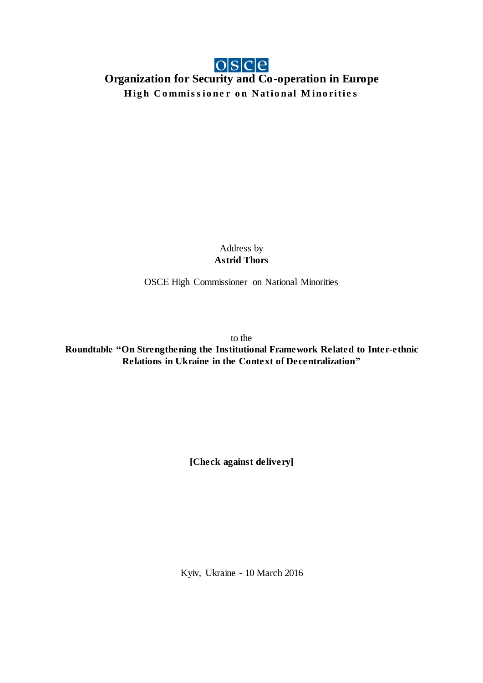## **Organization for Security and Co-operation in Europe High Commissioner on National Minorities**

Address by **Astrid Thors**

OSCE High Commissioner on National Minorities

to the

**Roundtable "On Strengthening the Institutional Framework Related to Inter-ethnic Relations in Ukraine in the Context of Decentralization"**

**[Check against delivery]**

Kyiv, Ukraine - 10 March 2016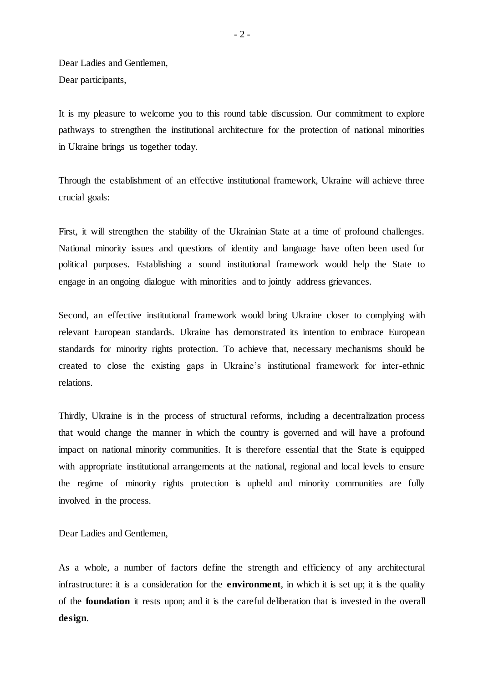Dear Ladies and Gentlemen, Dear participants,

It is my pleasure to welcome you to this round table discussion. Our commitment to explore pathways to strengthen the institutional architecture for the protection of national minorities in Ukraine brings us together today.

Through the establishment of an effective institutional framework, Ukraine will achieve three crucial goals:

First, it will strengthen the stability of the Ukrainian State at a time of profound challenges. National minority issues and questions of identity and language have often been used for political purposes. Establishing a sound institutional framework would help the State to engage in an ongoing dialogue with minorities and to jointly address grievances.

Second, an effective institutional framework would bring Ukraine closer to complying with relevant European standards. Ukraine has demonstrated its intention to embrace European standards for minority rights protection. To achieve that, necessary mechanisms should be created to close the existing gaps in Ukraine's institutional framework for inter-ethnic relations.

Thirdly, Ukraine is in the process of structural reforms, including a decentralization process that would change the manner in which the country is governed and will have a profound impact on national minority communities. It is therefore essential that the State is equipped with appropriate institutional arrangements at the national, regional and local levels to ensure the regime of minority rights protection is upheld and minority communities are fully involved in the process.

Dear Ladies and Gentlemen,

As a whole, a number of factors define the strength and efficiency of any architectural infrastructure: it is a consideration for the **environment**, in which it is set up; it is the quality of the **foundation** it rests upon; and it is the careful deliberation that is invested in the overall **design**.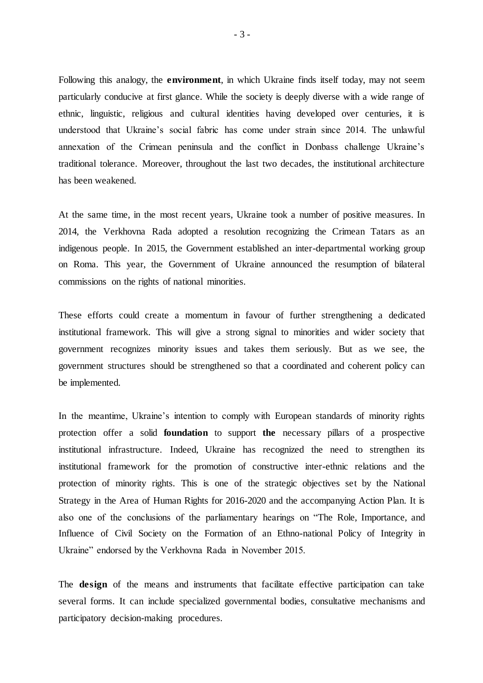Following this analogy, the **environment**, in which Ukraine finds itself today, may not seem particularly conducive at first glance. While the society is deeply diverse with a wide range of ethnic, linguistic, religious and cultural identities having developed over centuries, it is understood that Ukraine's social fabric has come under strain since 2014. The unlawful annexation of the Crimean peninsula and the conflict in Donbass challenge Ukraine's traditional tolerance. Moreover, throughout the last two decades, the institutional architecture has been weakened.

At the same time, in the most recent years, Ukraine took a number of positive measures. In 2014, the Verkhovna Rada adopted a resolution recognizing the Crimean Tatars as an indigenous people. In 2015, the Government established an inter-departmental working group on Roma. This year, the Government of Ukraine announced the resumption of bilateral commissions on the rights of national minorities.

These efforts could create a momentum in favour of further strengthening a dedicated institutional framework. This will give a strong signal to minorities and wider society that government recognizes minority issues and takes them seriously. But as we see, the government structures should be strengthened so that a coordinated and coherent policy can be implemented.

In the meantime, Ukraine's intention to comply with European standards of minority rights protection offer a solid **foundation** to support **the** necessary pillars of a prospective institutional infrastructure. Indeed, Ukraine has recognized the need to strengthen its institutional framework for the promotion of constructive inter-ethnic relations and the protection of minority rights. This is one of the strategic objectives set by the National Strategy in the Area of Human Rights for 2016-2020 and the accompanying Action Plan. It is also one of the conclusions of the parliamentary hearings on "The Role, Importance, and Influence of Civil Society on the Formation of an Ethno-national Policy of Integrity in Ukraine" endorsed by the Verkhovna Rada in November 2015.

The **design** of the means and instruments that facilitate effective participation can take several forms. It can include specialized governmental bodies, consultative mechanisms and participatory decision-making procedures.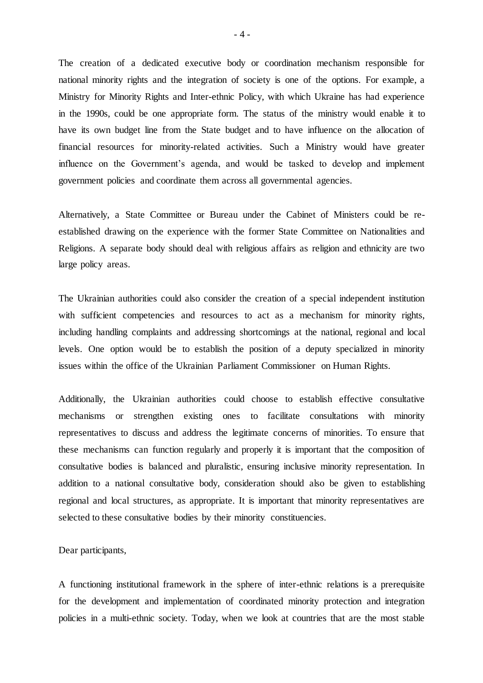The creation of a dedicated executive body or coordination mechanism responsible for national minority rights and the integration of society is one of the options. For example, a Ministry for Minority Rights and Inter-ethnic Policy, with which Ukraine has had experience in the 1990s, could be one appropriate form. The status of the ministry would enable it to have its own budget line from the State budget and to have influence on the allocation of financial resources for minority-related activities. Such a Ministry would have greater influence on the Government's agenda, and would be tasked to develop and implement government policies and coordinate them across all governmental agencies.

Alternatively, a State Committee or Bureau under the Cabinet of Ministers could be reestablished drawing on the experience with the former State Committee on Nationalities and Religions. A separate body should deal with religious affairs as religion and ethnicity are two large policy areas.

The Ukrainian authorities could also consider the creation of a special independent institution with sufficient competencies and resources to act as a mechanism for minority rights, including handling complaints and addressing shortcomings at the national, regional and local levels. One option would be to establish the position of a deputy specialized in minority issues within the office of the Ukrainian Parliament Commissioner on Human Rights.

Additionally, the Ukrainian authorities could choose to establish effective consultative mechanisms or strengthen existing ones to facilitate consultations with minority representatives to discuss and address the legitimate concerns of minorities. To ensure that these mechanisms can function regularly and properly it is important that the composition of consultative bodies is balanced and pluralistic, ensuring inclusive minority representation. In addition to a national consultative body, consideration should also be given to establishing regional and local structures, as appropriate. It is important that minority representatives are selected to these consultative bodies by their minority constituencies.

Dear participants,

A functioning institutional framework in the sphere of inter-ethnic relations is a prerequisite for the development and implementation of coordinated minority protection and integration policies in a multi-ethnic society. Today, when we look at countries that are the most stable